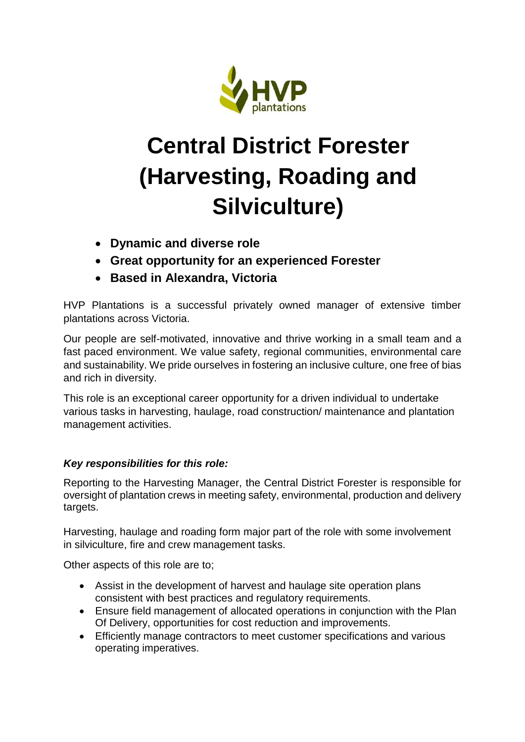

## **Central District Forester (Harvesting, Roading and Silviculture)**

- **Dynamic and diverse role**
- **Great opportunity for an experienced Forester**
- **Based in Alexandra, Victoria**

HVP Plantations is a successful privately owned manager of extensive timber plantations across Victoria.

Our people are self-motivated, innovative and thrive working in a small team and a fast paced environment. We value safety, regional communities, environmental care and sustainability. We pride ourselves in fostering an inclusive culture, one free of bias and rich in diversity.

This role is an exceptional career opportunity for a driven individual to undertake various tasks in harvesting, haulage, road construction/ maintenance and plantation management activities.

## *Key responsibilities for this role:*

Reporting to the Harvesting Manager, the Central District Forester is responsible for oversight of plantation crews in meeting safety, environmental, production and delivery targets.

Harvesting, haulage and roading form major part of the role with some involvement in silviculture, fire and crew management tasks.

Other aspects of this role are to;

- Assist in the development of harvest and haulage site operation plans consistent with best practices and regulatory requirements.
- Ensure field management of allocated operations in conjunction with the Plan Of Delivery, opportunities for cost reduction and improvements.
- Efficiently manage contractors to meet customer specifications and various operating imperatives.